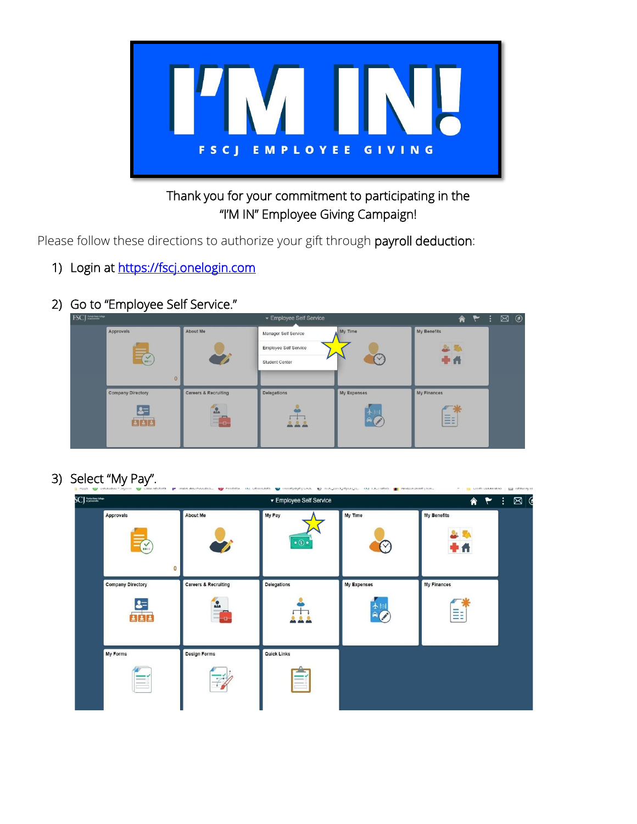

## Thank you for your commitment to participating in the "I'M IN" Employee Giving Campaign!

Please follow these directions to authorize your gift through payroll deduction:

- 1) Login at https://fscj.onelogin.com
- 2) Go to "Employee Self Service."

| <b>FSCJ</b> Restaurance  |                                 | ▼ Employee Self Service |             | <b>A P :</b>                                | $\odot$<br>⊠ |
|--------------------------|---------------------------------|-------------------------|-------------|---------------------------------------------|--------------|
| Approvals                | About Me                        | Manager Self Service    | My Time     | My Benefits                                 |              |
|                          |                                 | Employee Self Service   |             | 2.74                                        |              |
| $(\sum_{n=1}^{\infty}$   |                                 | Student Center          |             | <b>+A</b>                                   |              |
| $\mathbf{0}$             |                                 |                         |             |                                             |              |
| <b>Company Directory</b> | <b>Careers &amp; Recruiting</b> | Delegations             | My Expenses | My Finances                                 |              |
|                          | $\frac{1}{2}$                   |                         | ╋∥          |                                             |              |
|                          | $\sim$<br>$\vert -\vert$ o      | 222                     | $\sim$      | $-$<br>--<br>$\frac{1}{2}$<br>$\frac{1}{2}$ |              |
|                          |                                 |                         |             |                                             |              |

3) Select "My Pay".

| <b>SCJ</b> assumer                  |                                                 | ▼ Employee Self Service               |             | ◈                       |
|-------------------------------------|-------------------------------------------------|---------------------------------------|-------------|-------------------------|
| Approvals<br>$\mathsf{M}$<br>0      | About Me                                        | My Pay<br>$\bullet$<br>$\circledcirc$ | My Time     | My Benefits<br>n        |
| <b>Company Directory</b>            | <b>Careers &amp; Recruiting</b><br>$\mathbf{r}$ | <b>Delegations</b>                    | My Expenses | <b>My Finances</b><br>≣ |
| <b>My Forms</b><br>$\equiv$<br>$-1$ | <b>Design Forms</b>                             | <b>Quick Links</b><br>-               |             |                         |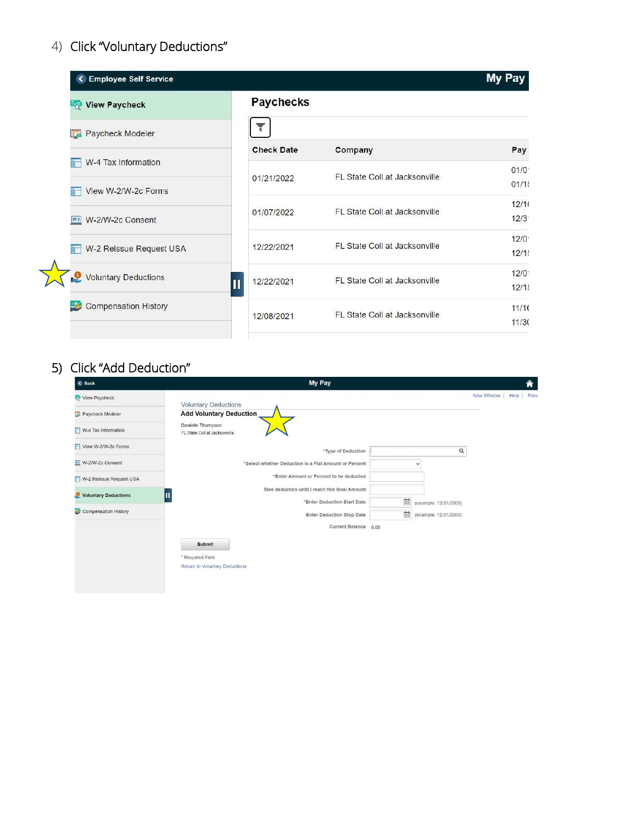# 4) Click "Voluntary Deductions"

| <b>Employee Self Service</b>       |                         |                               | My Pay |
|------------------------------------|-------------------------|-------------------------------|--------|
| <b>Q</b> View Paycheck             | <b>Paychecks</b>        |                               |        |
| <b>Review And Paycheck Modeler</b> |                         |                               |        |
|                                    | <b>Check Date</b>       | Company                       | Pay    |
| W-4 Tax Information                |                         | FL State Coll at Jacksonville | 01/0   |
| View W-2/W-2c Forms                | 01/21/2022              |                               | 01/1!  |
|                                    | 01/07/2022              | FL State Coll at Jacksonville | 12/16  |
| w <sub>2</sub> W-2/W-2c Consent    |                         |                               | 12/3   |
|                                    | 12/22/2021              | FL State Coll at Jacksonville | 12/0   |
| W-2 Reissue Request USA            |                         |                               | 12/1!  |
| <b>Voluntary Deductions</b>        | 12/22/2021              | FL State Coll at Jacksonville | 12/0   |
|                                    | $\overline{\mathbf{u}}$ |                               | 12/1!  |
| Compensation History               | 12/08/2021              | FL State Coll at Jacksonville | 11/16  |
|                                    |                         |                               | 11/30  |

## 5) Click "Add Deduction"

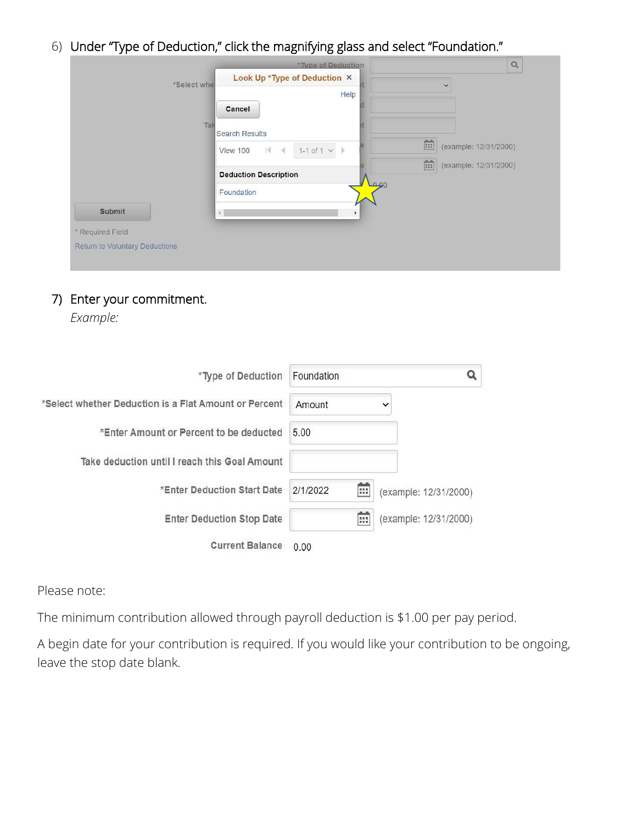6) Under "Type of Deduction," click the magnifying glass and select "Foundation."

|                                |              | *Type of Deduction                               | $\alpha$                   |
|--------------------------------|--------------|--------------------------------------------------|----------------------------|
|                                | *Select whet | Look Up *Type of Deduction X                     | $\checkmark$               |
|                                |              | Help                                             |                            |
|                                |              | Cancel                                           |                            |
|                                | Tak          | <b>Search Results</b>                            |                            |
|                                |              | $1-1$ of $1 \vee$<br>$ 4 - 4$<br><b>View 100</b> | (example: 12/31/2000)      |
|                                |              | <b>Deduction Description</b>                     | 面<br>(example: 12/31/2000) |
|                                |              | 00هـا<br>Foundation                              |                            |
| <b>Submit</b>                  |              | $\mathbf b$                                      |                            |
| * Required Field               |              |                                                  |                            |
| Return to Voluntary Deductions |              |                                                  |                            |
|                                |              |                                                  |                            |

#### 7) Enter your commitment.

*Example:*

| *Type of Deduction                                    | Foundation    | Q                     |
|-------------------------------------------------------|---------------|-----------------------|
| *Select whether Deduction is a Flat Amount or Percent | Amount        | $\check{ }$           |
| *Enter Amount or Percent to be deducted               | 5.00          |                       |
| Take deduction until I reach this Goal Amount         |               |                       |
| *Enter Deduction Start Date                           | m<br>2/1/2022 | (example: 12/31/2000) |
| <b>Enter Deduction Stop Date</b>                      | 霝             | (example: 12/31/2000) |
| <b>Current Balance</b>                                | 0.00          |                       |

Please note:

The minimum contribution allowed through payroll deduction is \$1.00 per pay period.

A begin date for your contribution is required. If you would like your contribution to be ongoing, leave the stop date blank.